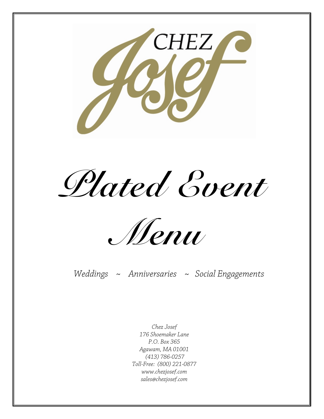

Plated Event



Weddings ~ Anniversaries ~ Social Engagements

Chez Josef 176 Shoemaker Lane P.O. Box 365 Agawam, MA 01001 (413) 786-0257 Toll-Free: (800) 221-0877 www.chezjosef.com sales@chezjosef.com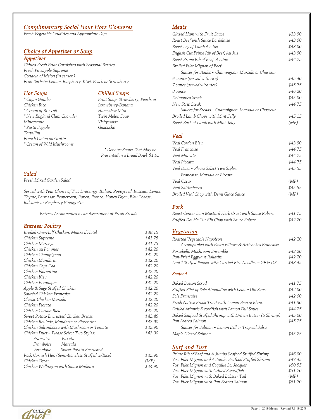# Complimentary Social Hour Hors D'oeuvres

Fresh Vegetable Crudities and Appropriate Dips

# Choice of Appetizer or Soup

#### **Appetizer**

Chilled Fresh Fruit Garnished with Seasonal Berries Fresh Pineapple Supreme Gondola of Melon (in season) Fruit Sorbets: Lemon, Raspberry, Kiwi, Peach or Strawberry

# Hot Soups

\* Cajun Gumbo Chicken Rice \* Cream of Broccoli \* New England Clam Chowder Minestrone \* Pasta Fagiole Tortellini French Onion au Gratin \* Cream of Wild Mushrooms

# **Chilled Soups**

Fruit Soup: Strawberry, Peach, or Strawberry-Banana Honeydew Mint Twin Melon Soup Vichyssoise Gazpacho

\* Denotes Soups That May be Presented in a Bread Bowl \$1.95

# Salad

Fresh Mixed Garden Salad

Served with Your Choice of Two Dressings: Italian, Poppyseed, Russian, Lemon Thyme, Parmesan Peppercorn, Ranch, French, Honey Dijon, Bleu Cheese, Balsamic or Raspberry Vinaigrette

Entrees Accompanied by an Assortment of Fresh Breads

# Entrees: Poultry

| Broiled One-Half Chicken, Maitre d'Hotel        | \$38.15 |
|-------------------------------------------------|---------|
| Chicken Supreme                                 | \$41.75 |
| Chicken Marengo                                 | \$41.75 |
| Chicken au Pommes                               | \$42.20 |
| Chicken Champignon                              | \$42.20 |
| Chicken Mandarin                                | \$42.20 |
| Chicken Cape Cod                                | \$42.20 |
| Chicken Florentine                              | \$42.20 |
| Chicken Kiev                                    | \$42.20 |
| Chicken Veronique                               | \$42.20 |
| Apple & Sage Stuffed Chicken                    | \$42.20 |
| Sautéed Chicken Francaise                       | \$42.20 |
| Classic Chicken Marsala                         | \$42.20 |
| Chicken Piccata                                 | \$42.20 |
| Chicken Cordon Bleu                             | \$42.20 |
| Sweet Potato Encrusted Chicken Breast           | \$43.45 |
| Chicken Roulade, Mandarin or Florentine         | \$43.90 |
| Chicken Saltimbocca with Mushroom or Tomato     | \$43.90 |
| Chicken Duet ~ Please Select Two Styles:        | \$43.90 |
| Francaise<br>Piccata                            |         |
| Framboise Marsala                               |         |
| Veronique Sweet Potato Encrusted                |         |
| Rock Cornish Hen (Semi-Boneless Stuffed w/Rice) | \$43.90 |
| Chicken Oscar                                   | (MP)    |
| Chicken Wellington with Sauce Madeira           | \$44.90 |

# Meats

| Glazed Ham with Fruit Sauce                         | \$33.90 |
|-----------------------------------------------------|---------|
| Roast Beef with Sauce Bordelaise                    | \$43.00 |
| Roast Leg of Lamb Au Jus                            | \$43.00 |
| English Cut Prime Rib of Beef, Au Jus               | \$43.90 |
| Roast Prime Rib of Beef, Au Jus                     | \$44.75 |
| Broiled Filet Mignon of Beef:                       |         |
| Sauces for Steaks ~ Champignon, Marsala or Chasseur |         |
| 6 ounce (served with rice)                          | \$45.40 |
| 7 ounce (served with rice)                          | \$45.75 |
| 8 ounce                                             | \$46.20 |
| Delmonico Steak                                     | \$45.00 |
| New Strip Steak                                     | \$44.75 |
| Sauces for Steaks ~ Champignon, Marsala or Chasseur |         |
| Broiled Lamb Chops with Mint Jelly                  | \$45.15 |
| Roast Rack of Lamb with Mint Jelly                  | (MP)    |
| <b>Veal</b>                                         |         |
| Veal Cordon Bleu                                    | \$43.90 |
| Veal Francaise                                      | \$44.75 |
| Veal Marsala                                        | \$44.75 |
| Veal Piccata                                        | \$44.75 |
| Veal Duet ~ Please Select Two Styles:               | \$45.55 |
| Francaise, Marsala or Piccata                       |         |
| Veal Oscar                                          | (MP)    |
| Veal Saltimbocca                                    | \$45.55 |
|                                                     |         |

# Pork

| Roast Center Loin Mustard Herb Crust with Sauce Robert | \$41.75 |
|--------------------------------------------------------|---------|
| Stuffed Double Cut Rib Chop with Sauce Robert          | \$42.20 |

Broiled Veal Chop with Demi Glace Sauce (MP)

# Vegetarian

| Roasted Vegetable Napoleon                                | \$42.20 |
|-----------------------------------------------------------|---------|
| Accompanied with Pasta Pillows & Artichokes Francaise     |         |
| Portobello Mushroom Ensemble                              | \$42.20 |
| Pan-Fried Eggplant Rollatini                              | \$42.20 |
| Lentil Stuffed Pepper with Curried Rice Noodles - GF & DF | \$43.45 |

#### **Seafood**

| Baked Boston Scrod                                        | \$41.75 |
|-----------------------------------------------------------|---------|
| Stuffed Filet of Sole Almondine with Lemon Dill Sauce     | \$42.00 |
| Sole Francaise                                            | \$42.00 |
| Fresh Native Brook Trout with Lemon Beurre Blanc          | \$41.30 |
| Grilled Atlantic Swordfish with Lemon Dill Sauce          | \$44.25 |
| Baked Seafood Stuffed Shrimp with Drawn Butter (5 Shrimp) | \$45.00 |
| Pan Seared Salmon                                         | \$45.25 |
| Sauces for Salmon ~ Lemon Dill or Tropical Salsa          |         |
| Maple Glazed Salmon                                       | \$45 25 |

# Surf and Turf

| Prime Rib of Beef and A Jumbo Seafood Stuffed Shrimp | \$46.00 |
|------------------------------------------------------|---------|
| 7oz. Filet Mignon and A Jumbo Seafood Stuffed Shrimp | \$47.45 |
| 7oz. Filet Mignon and Coquille St. Jacques           | \$50.55 |
| 7oz. Filet Mignon with Grilled Swordfish             | \$51.70 |
| 7oz. Filet Mignon with Baked Lobster Tail            | (MP)    |
| 7oz. Filet Mignon with Pan Seared Salmon             | \$51.70 |

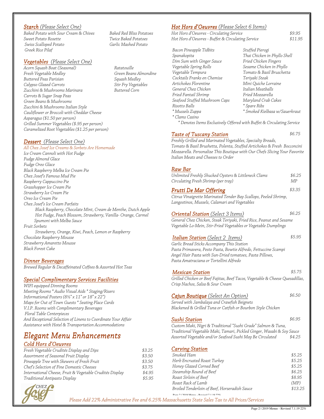## Starch (Please Select One)

Baked Potato with Sour Cream & Chives Sweet Potato Rosette Swiss Scalloped Potato Greek Rice Pilaf

#### Vegetables (Please Select One)

Acorn Squash Boat (Seasonal) Fresh Vegetable Medley Buttered Peas Parisian Calypso Glazed Carrots Zucchini & Mushrooms Marinara Carrots & Sugar Snap Peas Green Beans & Mushrooms Zucchini & Mushrooms Italian Style Cauliflower or Broccoli with Cheddar Cheese Asparagus (\$1.50 per person) Grilled Summer Vegetables (\$.95 per person) Caramelized Root Vegetables (\$1.25 per person)

Dessert (Please Select One)

All Chez Josef Ice Creams & Sorbets Are Homemade Ice Cream Cannoli with Hot Fudge Fudge Almond Glace Fudge Oreo Glace Black Raspberry Melba Ice Cream Pie Chez Josef's Famous Mud Pie Raspberry Cappuccino Pie Grasshopper Ice Cream Pie Strawberry Ice Cream Pie Oreo Ice Cream Pie Chez Josef's Ice Cream Parfaits Black Raspberry, Chocolate Mint, Cream de Menthe, Dutch Apple Hot Fudge, Peach Blossom, Strawberry, Vanilla- Orange, Carmel Spumoni with Melba Sauce Fruit Sorbets Strawberry, Orange, Kiwi, Peach, Lemon or Raspberry Chocolate Raspberry Mousse Strawberry Amaretto Mousse Black Forest Cake

#### Dinner Beverages

Brewed Regular & Decaffeinated Coffees & Assorted Hot Teas

#### Special Complimentary Services Facilities

WIFI equipped Dinning Rooms Meeting Rooms \* Audio Visual Aids \* Staging/Risers Informational Posters (8½" x 11" or 18" x 22") Maps for Out of Town Guests \* Seating Place Cards V.I.P. Rooms with Complimentary Beverages Floral Table Centerpieces And Exceptional Selection of Linens to Coordinate Your Affair Assistance with Hotel & Transportation Accommodations

# Elegant Menu Enhancements

# Cold Hors d'Oeuvres

| Fresh Vegetable Crudités Display and Dips                | \$3.25 |
|----------------------------------------------------------|--------|
| Assortment of Seasonal Fruit Display                     | \$3.50 |
| Pineapple Tree with Skewers of Fresh Fruit               | \$3.50 |
| Chef's Selection of Fine Domestic Cheeses                | \$3.75 |
| International Cheese, Fruit & Vegetable Crudités Display | \$4.95 |
| Traditional Antipasto Display                            | \$5.95 |



Baked Red Bliss Potatoes Twice Baked Potatoes Garlic Mashed Potato

Ratatouille Green Beans Almondine Squash Medley Stir Fry Vegetables Buttered Corn

# Hot Hors d'Oeuvres (Please Select 6 Items)

Hot Hors d'Oeuvres - Circulating Service<br>\$9.95 Hot Hors d'Oeuvres - Buffet & Circulating Service \$11.95

Bacon Pineapple Tidbits Spanakopita Dim Sum with Ginger Sauce Vegetable Spring Rolls Vegetable Tempura Cocktails Franks en Chemise Artichokes Florentine General Chez Chicken Fried Fantail Shrimp Seafood Stuffed Mushroom Caps Risotto Balls \* Mussels Zuppa

Stuffed Pierogi Thai Chicken in Phyllo Shell Fried Chicken Fingers Sesame Chicken in Phyllo Tomato & Basil Bruschetta Teriyaki Steak Mini Quiche Lorraine Italian Meatballs Fried Mozzarella Maryland Crab Cakes \* Spare Ribs \* Smoked Kielbasa w/Sauerkraut

\* Clams Casino

\* Denotes Items Exclusively Offered with Buffet & Circulating Service

## Taste of Tuscany Station  $$6.75$

Freshly Grilled and Marinated Vegetables, Specialty Breads, Tomato & Basil Brushetta, Polenta, Stuffed Artichokes & Fresh Bocconcini Mozzarella. Personalize This Boutique with Our Chefs Slicing Your Favorite Italian Meats and Cheeses to Order

#### Raw Bar

| Unlimited Freshly Shucked Oysters & Littleneck Clams | \$6.25 |
|------------------------------------------------------|--------|
| Circulating Fresh Shrimp (per tray)                  | MP     |
| Frutti De Mar Offering                               | \$3.35 |

Citrus Vinaigrette Marinated Tender Bay Scallops, Peeled Shrimp, Langostinos, Mussels, Calamari and Vegetables

# Oriental Station (Select 3 Items)  $$6.25$

General Chez Chicken, Steak Teriyaki, Fried Rice, Peanut and Sesame Vegetable Lo-Mein, Stir-Fried Vegetables or Vegetable Dumplings

# Italian Station (Select 2 Items)  $$5.95$

Garlic Bread Sticks Accompany This Station

Pasta Primavera, Pesto Pasta, Bowtie Alfredo, Fettuccine Scampi Angel Hair Pasta with Sun-Dried tomatoes, Pasta Pillows, Pasta Amatraciana or Tortellini Alfredo

## **Mexican Station**  $$5.75$

Grilled Chicken or Beef Fajitas, Beef Tacos, Vegetable & Cheese Quesadillas, Crisp Nachos, Salsa & Sour Cream

|  | <b>Cajun Boutique</b> (Select An Option) | \$6.50 |
|--|------------------------------------------|--------|
|--|------------------------------------------|--------|

Served with Jambalaya and Crawfish Beignets Blackened & Grilled Tuna or Catfish or Bourbon Style Chicken

Sushi Station  $$6.95$ 

Custom Maki, Nigri & Traditional "Sushi Grade" Salmon & Tuna, Traditional Vegetable Maki, Tamari, Pickled Ginger, Wasabi & Soy Sauce Assorted Vegetable and/or Seafood Sushi May Be Circulated \$4.25

# Carving Station

| Smoked Ham                                                    | \$5.25  |
|---------------------------------------------------------------|---------|
| Herb Encrusted Roast Turkey                                   | \$5.25  |
| Honey Glazed Corned Beef                                      | \$5.25  |
| Steamship Round of Beef                                       | \$6.25  |
| Roast Sirloin of Beef                                         | \$8.95  |
| Roast Rack of Lamb                                            | (MP)    |
| Broiled Tenderloin of Beef, Horseradish Sauce                 | \$13.25 |
| $D_{0.098}$ 2   2010 Manue $D_{\text{avised}}$ 7   10.22 $\%$ |         |

Please Add 22% Administrative Fee and 6.25% Massachusetts State Sales Tax to All Prices/Services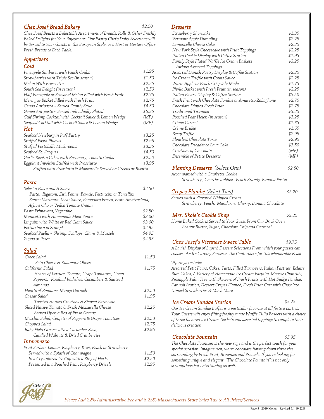# Chez Josef Bread Bakery \$2.50

Chez Josef Boasts a Delectable Assortment of Breads, Rolls & Other Freshly Baked Delights for Your Enjoyment. Our Pastry Chef's Daily Selections will be Served to Your Guests in the European Style, as a Host or Hostess Offers Fresh Breads to Each Table.

#### Appetizers

#### Cold

| Pineapple Sunburst with Peach Coulis                             | \$1.95 |
|------------------------------------------------------------------|--------|
| Strawberries with Triple Sec (in season)                         | \$1.50 |
| Melon With Prosciutto                                            | \$2.25 |
| South Sea Delight (in season)                                    | \$2.50 |
| Half Pineapple or Seasonal Melon Filled with Fresh Fruit         | \$2.75 |
| Meringue Basket Filled with Fresh Fruit                          | \$2.75 |
| Genoa Antipasto ~ Served Family Style                            | \$4.50 |
| Genoa Antipasto ~ Served Individually Plated                     | \$5.25 |
| Gulf Shrimp Cocktail with Cocktail Sauce & Lemon Wedge           | (MP)   |
| Seafood Cocktail with Cocktail Sauce & Lemon Wedge               | (MP)   |
| Hot                                                              |        |
| Seafood Newburg in Puff Pastry                                   | \$3.25 |
| Stuffed Pasta Pillows                                            | \$2.95 |
| Stuffed Portobello Mushrooms                                     | \$3.35 |
| Seafood St. Jacques                                              | \$4.50 |
| Garlic Risotto Cakes with Rosemary, Tomato Coulis                | \$2.50 |
| Eggplant Involtini Stuffed with Prosciutto                       | \$3.95 |
| Stuffed with Prosciutto & Mozzarella Served on Greens or Risotto |        |

#### Pasta

| Select a Pasta and A Sauce                                       | \$2.50 |
|------------------------------------------------------------------|--------|
| Pasta: Rigatoni, Ziti, Penne, Bowtie, Fettuccini or Tortellini   |        |
| Sauce: Marinara, Meat Sauce, Pomodoro Fresco, Pesto Amatraciana, |        |
| Aglio e Olio or Vodka Tomato Cream                               |        |
| Pasta Primavera, Vegetable                                       | \$2.50 |
| Manicotti with Homemade Meat Sauce                               | \$3.00 |
| Linguini with White or Red Clam Sauce                            | \$3.00 |
| Fettuccine a la Scampi                                           | \$2.95 |
| Seafood Paella ~ Shrimp, Scallops, Clams & Mussels               | \$4.95 |
| Zuppa di Pesce                                                   | \$4.95 |
| <u>Salad</u>                                                     |        |
| Greek Salad                                                      | \$1.50 |
| Feta Cheese & Kalamata Olives                                    |        |
| California Salad                                                 | \$1.75 |
| Hearts of Lettuce, Tomato, Grape Tomatoes, Green                 |        |
| Peppers, Rosebud Radishes, Cucumbers & Sautéed                   |        |
| Almonds                                                          |        |
| Hearts of Romaine, Mango Garnish                                 | \$2.50 |
| Caesar Salad                                                     | \$1.95 |
| Toasted Herbed Croutons & Shaved Parmesan                        |        |
| Sliced Native Tomato & Fresh Mozzarella Cheese                   | \$2.25 |
| Served Upon a Bed of Fresh Greens                                |        |
| Mesclun Salad, Confetti of Peppers & Grape Tomatoes              | \$2.50 |
| Chopped Salad                                                    | \$2.75 |
| Baby Field Greens with a Cucumber Sash,                          | \$2.95 |
| Candied Walnuts & Dried Cranberries                              |        |
| <b>Intermezzo</b>                                                |        |
| Fruit Sorbet: Lemon, Raspberry, Kiwi, Peach or Strawberry        |        |
| Served with a Splash of Champagne                                | \$1.50 |
| In a Crystallized Ice Cup with a Ring of Herbs                   | \$2.50 |
| Presented in a Poached Pear, Raspberry Drizzle                   | \$2.95 |

#### **Desserts**

| טט וטטטע                                                 |        |
|----------------------------------------------------------|--------|
| Strawberry Shortcake                                     | \$1.35 |
| Vermont Apple Dumpling                                   | \$2.25 |
| Lemoncello Cheese Cake                                   | \$2.25 |
| New York Style Cheesecake with Fruit Toppings            | \$2.25 |
| Italian Cookie Display with Coffee Station               | \$1.95 |
| Family Style Fluted Waffle Ice Cream Baskets             | \$3.25 |
| Various Assorted Toppings                                |        |
| Assorted Danish Pastry Display & Coffee Station          | \$2.25 |
| Ice Cream Truffle with Coulis Sauce                      | \$2.25 |
| Warm Apple or Peach Crisp á la Mode                      | \$1.75 |
| Phyllo Basket with Fresh Fruit (in season)               | \$2.25 |
| Italian Pastry Display & Coffee Station                  | \$3.50 |
| Fresh Fruit with Chocolate Fondue or Amaretto Zabaglione | \$2.75 |
| Chocolate Dipped Fresh Fruit                             | \$2.75 |
| Traditional Tiramisu                                     | \$3.25 |
| Poached Pear Helen (in season)                           | \$3.25 |
| Crème Carmel                                             | \$1.65 |
| Crème Brulée                                             | \$1.65 |
| Berry Triffle                                            | \$2.95 |
| Flourless Chocolate Torte                                | \$2.95 |
| Chocolate Decadence Lava Cake                            | \$3.50 |
| Creations of Chocolate                                   | (MP)   |
| Ensemble of Petite Desserts                              | (MP)   |
|                                                          |        |
| <b>Flaming Desserts</b> (Select One)                     | \$2.50 |

Accompanied with a Gaufrette Cookie Strawberry , Cherries Jubilee , Peach Brandy Banana Foster

#### Crepes Flambé (Select Two) \$3.20

Served with a Flavored Whipped Cream Strawberry, Peach, Mandarin, Cherry, Banana Chocolate

**Mrs. Skole's Cookie Shop \$3.25** Home Baked Cookies Served to Your Guest From Our Brick Oven Peanut Butter, Sugar, Chocolate Chip and Oatmeal

#### Chez Josef's Viennese Sweet Table \$9.75

A Lavish Display of Superb Dessert Selections From which your guests can choose. An Ice Carving Serves as the Centerpiece for this Memorable Feast.

Offerings Include:

Assorted Petit Fours, Cakes, Tarts, Filled Turnovers, Italian Pastries, Éclairs, Rum Cakes, A Variety of Homemade Ice Cream Parfaits, Mousse Chantilly, Pineapple Palm Tree with Skewers of Fresh Fruits with Hot Fudge Fondue, Cannoli Station, Dessert Crepes Flambé, Fresh Fruit Cart with Chocolate Dipped Strawberries & Much More

# Ice Cream Sundae Station

\$5.25

Our Ice Cream Sundae Buffet is a particular favorite at all festive parties. Your Guests will enjoy filling freshly made Waffle Tulip Baskets with a choice of three flavored Ice Cream, Sorbets and assorted toppings to complete their delicious creation.

# Chocolate Fountain  $$5.95$

The Chocolate Fountain is the new rage and is the perfect touch for your special occasion. Imagine rich, warm chocolate flowing down three ties surrounding by Fresh Fruit, Brownies and Pretzels. If you're looking for something unique and elegant, "The Chocolate Fountain" is not only scrumptious but entertaining as well.